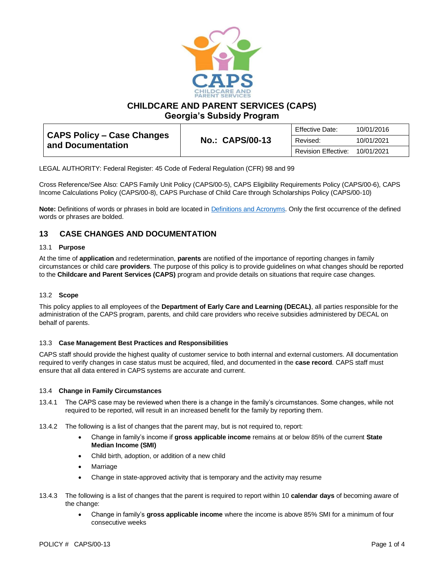

**CHILDCARE AND PARENT SERVICES (CAPS)**

**Georgia's Subsidy Program**

| <b>CAPS Policy - Case Changes</b><br>and Documentation | <b>No.: CAPS/00-13</b> | <b>Effective Date:</b>     | 10/01/2016 |
|--------------------------------------------------------|------------------------|----------------------------|------------|
|                                                        |                        | Revised:                   | 10/01/2021 |
|                                                        |                        | <b>Revision Effective:</b> | 10/01/2021 |

LEGAL AUTHORITY: Federal Register: 45 Code of Federal Regulation (CFR) 98 and 99

Cross Reference/See Also: CAPS Family Unit Policy (CAPS/00-5), CAPS Eligibility Requirements Policy (CAPS/00-6), CAPS Income Calculations Policy (CAPS/00-8), CAPS Purchase of Child Care through Scholarships Policy (CAPS/00-10)

**Note:** Definitions of words or phrases in bold are located in [Definitions and Acronyms.](https://caps.decal.ga.gov/assets/downloads/CAPS/02-CAPS_Policy-Definitions%20and%20Acronyms.pdf) Only the first occurrence of the defined words or phrases are bolded.

# **13 CASE CHANGES AND DOCUMENTATION**

## 13.1 **Purpose**

At the time of **application** and redetermination, **parents** are notified of the importance of reporting changes in family circumstances or child care **providers**. The purpose of this policy is to provide guidelines on what changes should be reported to the **Childcare and Parent Services (CAPS)** program and provide details on situations that require case changes.

# 13.2 **Scope**

This policy applies to all employees of the **Department of Early Care and Learning (DECAL)**, all parties responsible for the administration of the CAPS program, parents, and child care providers who receive subsidies administered by DECAL on behalf of parents.

#### 13.3 **Case Management Best Practices and Responsibilities**

CAPS staff should provide the highest quality of customer service to both internal and external customers. All documentation required to verify changes in case status must be acquired, filed, and documented in the **case record**. CAPS staff must ensure that all data entered in CAPS systems are accurate and current.

#### 13.4 **Change in Family Circumstances**

- 13.4.1 The CAPS case may be reviewed when there is a change in the family's circumstances. Some changes, while not required to be reported, will result in an increased benefit for the family by reporting them.
- 13.4.2 The following is a list of changes that the parent may, but is not required to, report:
	- Change in family's income if **gross applicable income** remains at or below 85% of the current **State Median Income (SMI)**
	- Child birth, adoption, or addition of a new child
	- **Marriage**
	- Change in state-approved activity that is temporary and the activity may resume
- 13.4.3 The following is a list of changes that the parent is required to report within 10 **calendar days** of becoming aware of the change:
	- Change in family's **gross applicable income** where the income is above 85% SMI for a minimum of four consecutive weeks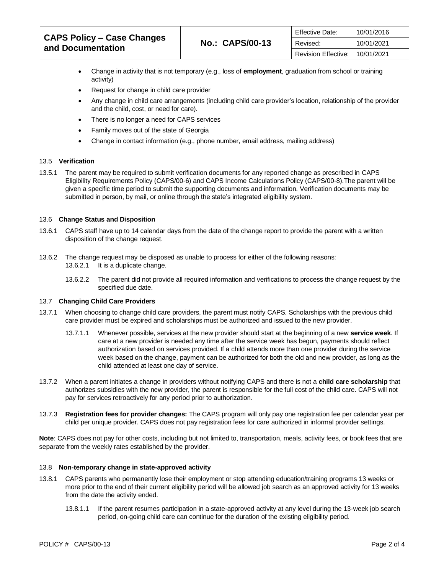| <b>CAPS Policy – Case Changes</b><br>and Documentation | <b>No.: CAPS/00-13</b> | <b>Effective Date:</b>     | 10/01/2016 |
|--------------------------------------------------------|------------------------|----------------------------|------------|
|                                                        |                        | Revised:                   | 10/01/2021 |
|                                                        |                        | <b>Revision Effective:</b> | 10/01/2021 |

- Change in activity that is not temporary (e.g., loss of **employment**, graduation from school or training activity)
- Request for change in child care provider
- Any change in child care arrangements (including child care provider's location, relationship of the provider and the child, cost, or need for care).
- There is no longer a need for CAPS services
- Family moves out of the state of Georgia
- Change in contact information (e.g., phone number, email address, mailing address)

# 13.5 **Verification**

13.5.1 The parent may be required to submit verification documents for any reported change as prescribed i[n CAPS](https://caps.decal.ga.gov/assets/downloads/CAPS/06-CAPS_Policy-Eligibility%20Requirements.pdf)  [Eligibility Requirements Policy \(CAPS/00-6\)](https://caps.decal.ga.gov/assets/downloads/CAPS/06-CAPS_Policy-Eligibility%20Requirements.pdf) an[d CAPS Income Calculations Policy \(CAPS/00-8\).](https://caps.decal.ga.gov/assets/downloads/CAPS/08-CAPS_Policy-Income%20Calculations.pdf)The parent will be given a specific time period to submit the supporting documents and information. Verification documents may be submitted in person, by mail, or online through the state's integrated eligibility system.

#### 13.6 **Change Status and Disposition**

- 13.6.1 CAPS staff have up to 14 calendar days from the date of the change report to provide the parent with a written disposition of the change request.
- 13.6.2 The change request may be disposed as unable to process for either of the following reasons: 13.6.2.1 It is a duplicate change.
	- 13.6.2.2 The parent did not provide all required information and verifications to process the change request by the specified due date.

#### 13.7 **Changing Child Care Providers**

- 13.7.1 When choosing to change child care providers, the parent must notify CAPS. Scholarships with the previous child care provider must be expired and scholarships must be authorized and issued to the new provider.
	- 13.7.1.1 Whenever possible, services at the new provider should start at the beginning of a new **service week**. If care at a new provider is needed any time after the service week has begun, payments should reflect authorization based on services provided. If a child attends more than one provider during the service week based on the change, payment can be authorized for both the old and new provider, as long as the child attended at least one day of service.
- 13.7.2 When a parent initiates a change in providers without notifying CAPS and there is not a **child care scholarship** that authorizes subsidies with the new provider, the parent is responsible for the full cost of the child care. CAPS will not pay for services retroactively for any period prior to authorization.
- 13.7.3 **Registration fees for provider changes:** The CAPS program will only pay one registration fee per calendar year per child per unique provider. CAPS does not pay registration fees for care authorized in informal provider settings.

Note: CAPS does not pay for other costs, including but not limited to, transportation, meals, activity fees, or book fees that are separate from the weekly rates established by the provider.

#### 13.8 **Non-temporary change in state-approved activity**

- 13.8.1 CAPS parents who permanently lose their employment or stop attending education/training programs 13 weeks or more prior to the end of their current eligibility period will be allowed job search as an approved activity for 13 weeks from the date the activity ended.
	- 13.8.1.1 If the parent resumes participation in a state-approved activity at any level during the 13-week job search period, on-going child care can continue for the duration of the existing eligibility period.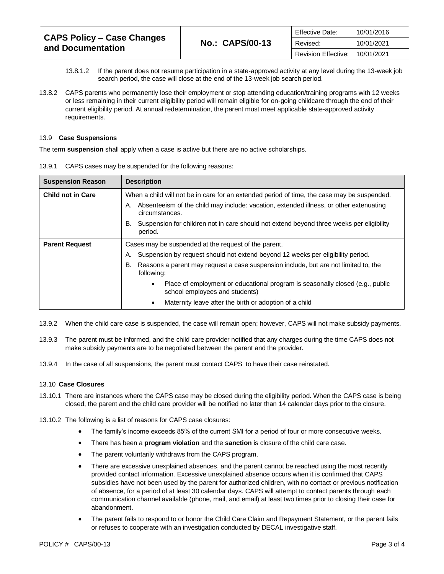| <b>CAPS Policy – Case Changes</b><br>and Documentation | <b>No.: CAPS/00-13</b> | <b>Effective Date:</b> | 10/01/2016 |
|--------------------------------------------------------|------------------------|------------------------|------------|
|                                                        |                        | Revised:               | 10/01/2021 |
|                                                        |                        | Revision Effective:    | 10/01/2021 |

- 13.8.1.2 If the parent does not resume participation in a state-approved activity at any level during the 13-week job search period, the case will close at the end of the 13-week job search period.
- 13.8.2 CAPS parents who permanently lose their employment or stop attending education/training programs with 12 weeks or less remaining in their current eligibility period will remain eligible for on-going childcare through the end of their current eligibility period. At annual redetermination, the parent must meet applicable state-approved activity requirements.

#### 13.9 **Case Suspensions**

The term **suspension** shall apply when a case is active but there are no active scholarships.

| <b>Suspension Reason</b> | <b>Description</b>                                                                                                           |  |
|--------------------------|------------------------------------------------------------------------------------------------------------------------------|--|
| <b>Child not in Care</b> | When a child will not be in care for an extended period of time, the case may be suspended.                                  |  |
|                          | Absenteeism of the child may include: vacation, extended illness, or other extenuating<br>Α.<br>circumstances.               |  |
|                          | Suspension for children not in care should not extend beyond three weeks per eligibility<br>В.<br>period.                    |  |
| <b>Parent Request</b>    | Cases may be suspended at the request of the parent.                                                                         |  |
|                          | Suspension by request should not extend beyond 12 weeks per eligibility period.<br>Α.                                        |  |
|                          | Reasons a parent may request a case suspension include, but are not limited to, the<br>В.<br>following:                      |  |
|                          | Place of employment or educational program is seasonally closed (e.g., public<br>$\bullet$<br>school employees and students) |  |
|                          | Maternity leave after the birth or adoption of a child                                                                       |  |

13.9.1 CAPS cases may be suspended for the following reasons:

- 13.9.2 When the child care case is suspended, the case will remain open; however, CAPS will not make subsidy payments.
- 13.9.3 The parent must be informed, and the child care provider notified that any charges during the time CAPS does not make subsidy payments are to be negotiated between the parent and the provider.
- 13.9.4 In the case of all suspensions, the parent must contact CAPS to have their case reinstated.

#### 13.10 **Case Closures**

- 13.10.1 There are instances where the CAPS case may be closed during the eligibility period. When the CAPS case is being closed, the parent and the child care provider will be notified no later than 14 calendar days prior to the closure.
- 13.10.2 The following is a list of reasons for CAPS case closures:
	- The family's income exceeds 85% of the current SMI for a period of four or more consecutive weeks.
	- There has been a **program violation** and the **sanction** is closure of the child care case.
	- The parent voluntarily withdraws from the CAPS program.
	- There are excessive unexplained absences, and the parent cannot be reached using the most recently provided contact information. Excessive unexplained absence occurs when it is confirmed that CAPS subsidies have not been used by the parent for authorized children, with no contact or previous notification of absence, for a period of at least 30 calendar days. CAPS will attempt to contact parents through each communication channel available (phone, mail, and email) at least two times prior to closing their case for abandonment.
	- The parent fails to respond to or honor the Child Care Claim and Repayment Statement, or the parent fails or refuses to cooperate with an investigation conducted by DECAL investigative staff.